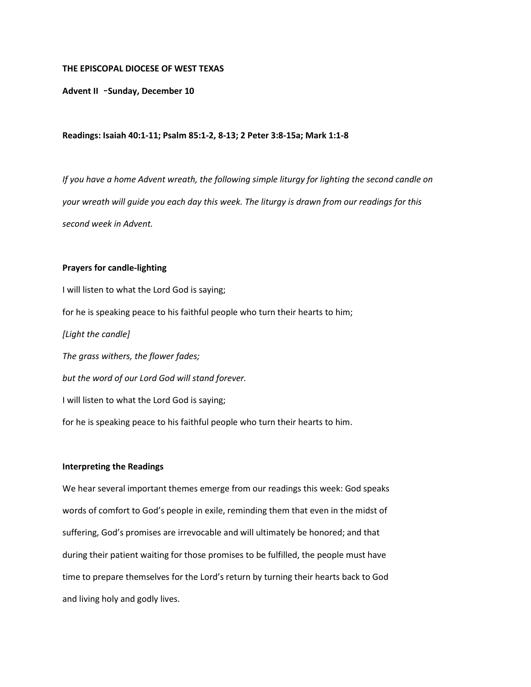### **THE EPISCOPAL DIOCESE OF WEST TEXAS**

**Advent II** –**Sunday, December 10**

### **Readings: Isaiah 40:1-11; Psalm 85:1-2, 8-13; 2 Peter 3:8-15a; Mark 1:1-8**

*If you have a home Advent wreath, the following simple liturgy for lighting the second candle on your wreath will guide you each day this week. The liturgy is drawn from our readings for this second week in Advent.*

## **Prayers for candle-lighting**

I will listen to what the Lord God is saying; for he is speaking peace to his faithful people who turn their hearts to him; *[Light the candle] The grass withers, the flower fades; but the word of our Lord God will stand forever.* I will listen to what the Lord God is saying; for he is speaking peace to his faithful people who turn their hearts to him.

# **Interpreting the Readings**

We hear several important themes emerge from our readings this week: God speaks words of comfort to God's people in exile, reminding them that even in the midst of suffering, God's promises are irrevocable and will ultimately be honored; and that during their patient waiting for those promises to be fulfilled, the people must have time to prepare themselves for the Lord's return by turning their hearts back to God and living holy and godly lives.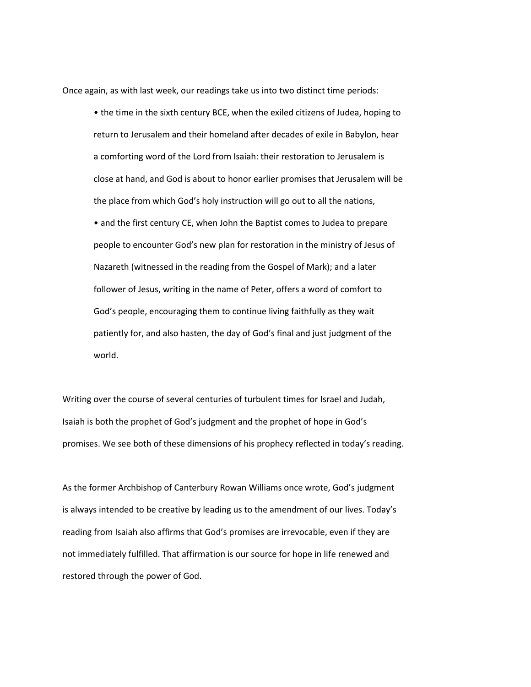Once again, as with last week, our readings take us into two distinct time periods:

• the time in the sixth century BCE, when the exiled citizens of Judea, hoping to return to Jerusalem and their homeland after decades of exile in Babylon, hear a comforting word of the Lord from Isaiah: their restoration to Jerusalem is close at hand, and God is about to honor earlier promises that Jerusalem will be the place from which God's holy instruction will go out to all the nations, • and the first century CE, when John the Baptist comes to Judea to prepare people to encounter God's new plan for restoration in the ministry of Jesus of Nazareth (witnessed in the reading from the Gospel of Mark); and a later follower of Jesus, writing in the name of Peter, offers a word of comfort to God's people, encouraging them to continue living faithfully as they wait patiently for, and also hasten, the day of God's final and just judgment of the world.

Writing over the course of several centuries of turbulent times for Israel and Judah, Isaiah is both the prophet of God's judgment and the prophet of hope in God's promises. We see both of these dimensions of his prophecy reflected in today's reading.

As the former Archbishop of Canterbury Rowan Williams once wrote, God's judgment is always intended to be creative by leading us to the amendment of our lives. Today's reading from Isaiah also affirms that God's promises are irrevocable, even if they are not immediately fulfilled. That affirmation is our source for hope in life renewed and restored through the power of God.